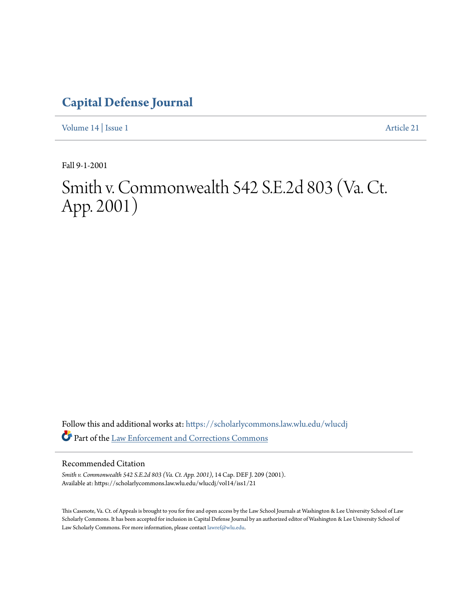## **[Capital Defense Journal](https://scholarlycommons.law.wlu.edu/wlucdj?utm_source=scholarlycommons.law.wlu.edu%2Fwlucdj%2Fvol14%2Fiss1%2F21&utm_medium=PDF&utm_campaign=PDFCoverPages)**

[Volume 14](https://scholarlycommons.law.wlu.edu/wlucdj/vol14?utm_source=scholarlycommons.law.wlu.edu%2Fwlucdj%2Fvol14%2Fiss1%2F21&utm_medium=PDF&utm_campaign=PDFCoverPages) | [Issue 1](https://scholarlycommons.law.wlu.edu/wlucdj/vol14/iss1?utm_source=scholarlycommons.law.wlu.edu%2Fwlucdj%2Fvol14%2Fiss1%2F21&utm_medium=PDF&utm_campaign=PDFCoverPages) [Article 21](https://scholarlycommons.law.wlu.edu/wlucdj/vol14/iss1/21?utm_source=scholarlycommons.law.wlu.edu%2Fwlucdj%2Fvol14%2Fiss1%2F21&utm_medium=PDF&utm_campaign=PDFCoverPages)

Fall 9-1-2001

# Smith v. Commonwealth 542 S.E.2d 803 (Va. Ct. App. 2001)

Follow this and additional works at: [https://scholarlycommons.law.wlu.edu/wlucdj](https://scholarlycommons.law.wlu.edu/wlucdj?utm_source=scholarlycommons.law.wlu.edu%2Fwlucdj%2Fvol14%2Fiss1%2F21&utm_medium=PDF&utm_campaign=PDFCoverPages) Part of the [Law Enforcement and Corrections Commons](http://network.bepress.com/hgg/discipline/854?utm_source=scholarlycommons.law.wlu.edu%2Fwlucdj%2Fvol14%2Fiss1%2F21&utm_medium=PDF&utm_campaign=PDFCoverPages)

Recommended Citation

*Smith v. Commonwealth 542 S.E.2d 803 (Va. Ct. App. 2001)*, 14 Cap. DEF J. 209 (2001). Available at: https://scholarlycommons.law.wlu.edu/wlucdj/vol14/iss1/21

This Casenote, Va. Ct. of Appeals is brought to you for free and open access by the Law School Journals at Washington & Lee University School of Law Scholarly Commons. It has been accepted for inclusion in Capital Defense Journal by an authorized editor of Washington & Lee University School of Law Scholarly Commons. For more information, please contact [lawref@wlu.edu.](mailto:lawref@wlu.edu)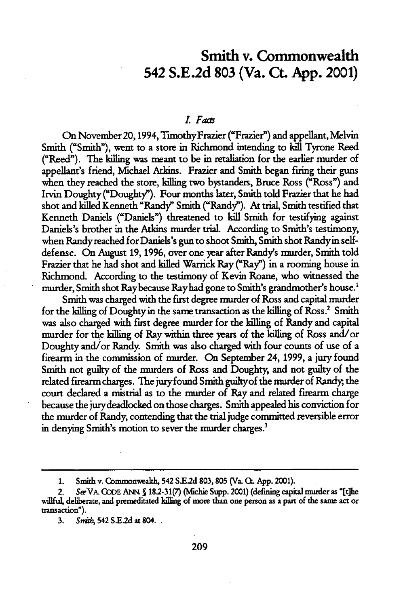### **Smith** v. Commonwealth 542 **S.E.2d 803** (Va. **Ct. App.** 2001)

#### *L. Fads*

On November20, 1994, TimothyFrazier ("Frazier") and appellant, Melvin Smith ("Smith"), went to a store in Richmond intending to **kill** Tyrone Reed ("Reed"). **The** killing was meant to be in retaliation for the earlier murder of appellant's friend, Michael Atkins. Frazier and Smith began firing their guns when they reached the store, killing two bystanders, Bruce Ross ("Ross") and Irvin Doughty ("Doughty"). Four months later, Smith told Frazier that he had shot and killed Kenneth "Randy" Smith ("Randy"). At trial, Smith testified that Kenneth Daniels ("Daniels") threatened to kill Smith for testifying against Daniels's brother in the Atkins murder trial. According to Smith's testimony, when Randy reached for Daniels's gun to shoot Smith, Smith shot Randyin selfdefense. On August **19, 1996,** over one year after Randy's murder, Smith told Frazier that he had shot and killed Warrick Ray ("Ray") in a rooming house in Richmond. According to the testimony of Kevin Roane, who witnessed the murder, Smith shot Raybecause Rayhad gone to Smith's grandmother's house.'

Smith was charged with the first degree murder of Ross and capital murder for the killing of Doughty in the same transaction as the killing of Ross.<sup>2</sup> Smith was also charged with first degree murder for the killing of Randy and capital murder for the killing of Ray within three years of the killing of Ross and/or Doughty and/or Randy. Smith was also charged with four counts of use of a firearm in the commission of murder. On September 24, **1999,** a jury found Smith not guilty of the murders of Ross and Doughty, and not guilty of the related firearm charges. The jury found Smith guiltyof the murder of Randy, the court declared a mistrial as to the murder of Ray and related firearm charge because the jurydeadlocked on those charges. Smith appealed his conviction for the murder of Randy, contending that the trial judge committed reversible error in denying Smith's motion to sever the murder charges.'

**<sup>1.</sup> Smith** v. Commonweakh, 542 **SE2d** 803,805 (Va. **Q.** App. 2001).

See VA. CODE ANN. § 18.2-31(7) (Michie Supp. 2001) (defining capital murder as "[t]he willful, deliberate, and premeditated killing of more than one person as a part of the same act or transaction").

**<sup>3.</sup>** Snith, 542 **S.E.2d** at 804.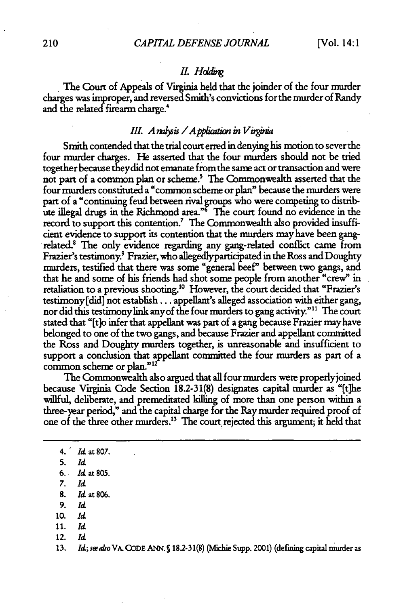#### **I. Hddig**

The Court of Appeals of Virginia held that the joinder of the four murder charges was improper, and reversed Smith's convictions forthe murder of Randy and the related firearm charge.<sup>4</sup>

#### *III. A nalysis / A pplication in Virginia*

Smith contended that the trial court erred in denying his motion to sever the four murder charges. He asserted that the four murders should not be tried together because theydid not emanate from the same act or transaction and were not part of a common plan or scheme.' The Commonwealth asserted that the four murders constituted a "common scheme or plan" because the murders were part of a "continuing feud between rival groups who were competing to distribute illegal drugs in the Richmond area."' **The** court found no evidence in the record to support this contention.<sup>7</sup> The Commonwealth also provided insufficient evidence to support its contention that the murders may have been gangrelated.<sup>8</sup> The only evidence regarding any gang-related conflict came from Frazier's testimony.' Frazier, who allegedlyparticipated in the Ross and Doughty murders, testified that there was some "general beef" between two gangs, and that he and some of his friends had shot some people from another "crew" in retaliation to a previous shooting.<sup>10</sup> However, the court decided that "Frazier's testimony [did] not establish... appellant's alleged association with either gang, nor did this testimony link any of the four murders to gang activity."<sup>11</sup> The court stated that "[t]o infer that appellant was part of a gang because Frazier may have belonged to one of the two gangs, and because Frazier and appellant comnitted the Ross and Doughty murders together, is unreasonable and insufficient to support a conclusion that appellant committed the four murders as part of a common scheme or plan."<sup>12</sup>

The Commonwealth also argued that all four murders were properlyjoined because Virginia Code Section 18.2-31(8) designates capital murder as "[the willful, deliberate, and premeditated killing of more than one person within a three-year period," and the capital charge for the Ray murder required proof of one of the three other nmurders."' The court rejected this argument; it held that

- 8. **Id** at 806.
- 9. *rd*
- **10.** *Id*
- 11. *Id*
- 12. *Id*

<sup>4.</sup> *Id* at 807.

**<sup>5.</sup>** *Id*

**<sup>6.</sup>** Id at **805.**

**<sup>7.</sup>** *Id*

<sup>13.</sup> *Id; sealso* VA. CODE ANN. *S* 18.2-31(8) (Michie Supp. 2001) (defiig capital *mualer* as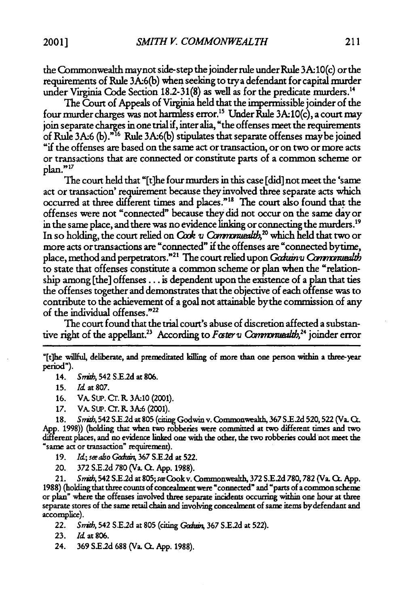the Commonwealth maynot side-step the joinder rule under Rule 3A 10(c) orthe requirements of Rule 3A:6(b) when seeking to trya defendant for capital murder under Virginia Code Section 18.2-31(8) as well as for the predicate murders.<sup>14</sup>

The Court of Appeals of Virginia held that the impermissible joinder of the four murder charges was not harmless error.<sup>15</sup> Under Rule 3A:10(c), a court may join separate charges in one trial if, inter alia, "the offenses meet the requirements **of** Rule 3A6(b)." 16 Rule 3A6(b) stipulates that separate offenses maybe joined "if the offenses are based on the same act or transaction, or on two or more acts or transactions that are connected or constitute parts of a common scheme or plan. **"<sup>17</sup>**

The court held that "[t]he four nmurders in this case [did] not meet the 'same act or transaction' requirement because they involved three separate acts which occurred at three different times and places.""8 The court also found that the offenses were not "connected" because they did not occur on the same day or in the same place, and there was no evidence linking or connecting the murders.<sup>19</sup> In so holding, the court relied on *Cook <sub>v</sub> Commonicalth*,<sup>20</sup> which held that two or more acts or transactions are "connected" if the offenses are "connected bytime, place, method and perpetrators."<sup>21</sup> The court relied upon *Garuin v Commonuealth* to state that offenses constitute a common scheme or plan when the "relationship among [the] offenses **...** is dependent upon the existence of a plan that ties the offenses together and demonstrates that the objective of each offense was to contribute to the achievement of a goal not attainable bythe commission of any of the individual offenses."<sup>22</sup>

The court found that the trial court's abuse of discretion affected a substantive right of the appellant.<sup>23</sup> According to *Foster v Commonwealth*,<sup>24</sup> joinder error

"[tlhe willful, deliberate, and premeditated killing of more than one person within a three-year period").

14. Smith, 542 S.E.2d at 806.

16. VA. SUP. Cr. R. 3A.10 (2001).

17. VA. Sup. Cr. R. 3A:6 (2001).

**18.** *Snik,* 542 **S.E2d** at **805** (cting Godwin v. Commonwealth, **367** S.E.2d 520,522 (Va. **C.** App. 1998)) (holding that when two robberies were committed at two different times and two different places, and no evidence linked one with the other, the two robberies could not meet the "same act or transaction" requirement).

19. *Id: see also Goduin*, 367 S.E.2d at 522.

20. **372 S.E.2d 780** (Va. **C. App. 1988).**

21. Snib, 542 **S.E.2d** at 805;siCookv. Commonwealth, **372 S.E.2d 780,782** (Va. **C.. App. 1988)** (holding that three counts of concealment were 'connected" and "parts of a common scheme or plan" where the offenses involved three separate incidents occurring within one hour at three separate stores of the same retail chain and involving concealment of same items bydefendant and accomplice).

22. *Snid,* 542 **S.E.2d** at **805** (citing *Gaih\** **367 S.E.2d** at **522).**

**23.** Id at **806.**

24. **369 S.E2d** 688 (Va. Cr. App. 1988).

**<sup>15.</sup>** *Id* at 807.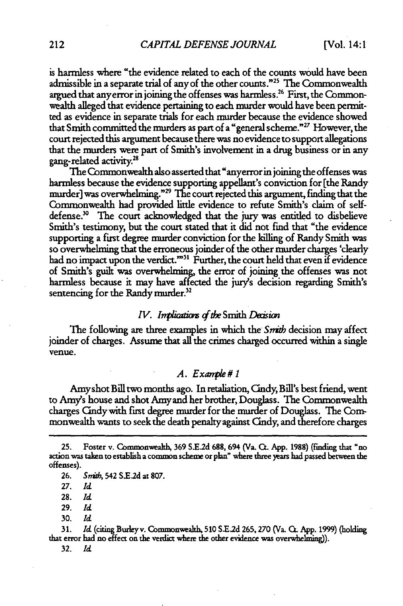is harmless where "the evidence related to each of the counts would have been admissible in a separate trial of any of the other counts."<sup>25</sup> The Commonwealth argued that anyerror in joining the offenses was harmless.26 First, the Commonwealth alleged that evidence pertaining to each murder would have been permitted as evidence in separate trials for each murder because the evidence showed that Smith committed the murders as part of a "general scheme."17 However, the court rejected this argument because there was no evidence to support allegations that the murders were part of Smith's involvement in a drug business or in any gang-related activity.<sup>28</sup>

The Commonwealth also asserted that "anyerror in joining the offenses was harmless because the evidence supporting appellant's conviction for [the Randy murder] was overwhelming."29 The court rejected this argument, finding that the Commonwealth had provided little evidence to refute Smith's claim of selfdefense.<sup>30</sup> The court acknowledged that the jury was entitled to disbelieve Smith's testimony, but the court stated that it did not find that "the evidence supporting a first degree murder conviction for the killing of Randy Smith was so overwhelming that the erroneous joinder of the other murder charges 'dearly had no impact upon the verdict."<sup>31</sup> Further, the court held that even if evidence of Smith's guilt was overwhelming, the error of joining the offenses was not harmless because it may have affected the jury's decision regarding Smith's sentencing for the Randy murder.<sup>32</sup>

#### *IV. Implications of the* Smith *Decision*

The following are three examples in which the *Smith* decision may affect joinder of charges. Assume that all the crimes charged occurred within a single venue.

#### *A.* Example #1

Amyshot Bill two months ago. In retaliation, Cindy, Bill's best friend, went to Amy's house and shot Amy and her brother, Douglass. The Commonwealth charges Cndywith first degree murder for the murder of Douglass. **The** Commonwealth wants to seek the death penalty against Candy, and therefore charges

**25.** Foster v. Commonwealth, **369 S.Ed** 688, 694 (Va. Q. App. 1988) (finding that "no action was taken to establish a common scheme or plan" where three **)ears** had passed between the offenses).

**28. Id**

29. *Id*

**30.** *Id*

**31.** *Id* (citing Burleyv. Commonwealth, **510 S-E.d 265,270** (Va. **C.** App. 1999) (holding that error had no effect on the verdict where the other evidence was overwhelming)).

**32.** *Id*

<sup>26.</sup> Sntb, 542 **S.E2d** at 807.

**<sup>27.</sup> Id**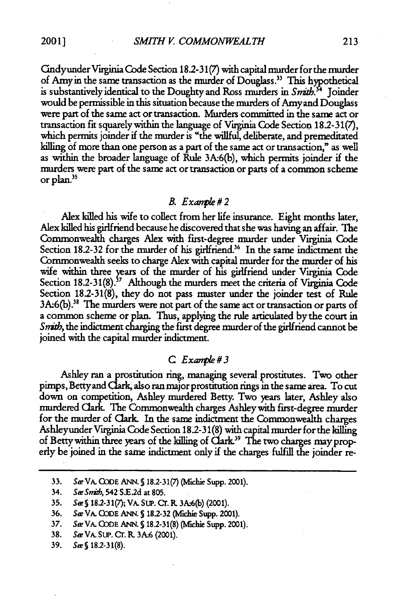*SMITH V. COMMONWEALTH*

Cmdyunder Virginia Code Section 18.2-31(7) with capital murder forthe murder of Amyin the same transaction as the murder of Douglass." This hypothetical is substantively identical to the Doughty and Ross murders in *Snrrb.34* Joinder would be permissible in this situation because the murders of Amyand Douglass were part of the same act or transaction. Murders committed in the same act or transaction fit squarelywithin the language of Virginia Code Section **182-31(7),** which permits joinder if the murder is "the willful, deliberate, and premeditated killing of more than one person as a part of the same act or transaction," as well as within the broader language of Rule **3A:6(b),** which permits joinder if the murders were part of the same act or transaction or parts of a common scheme or plan."

#### R *Exanple#2*

Alex killed his wife to collect from her life insurance. Eight months later, Alex killed his girlfriend because he discovered that she was having an affair. The Commonwealth charges Alex with first-degree murder under Virginia Code Section 18.2-32 for the murder of his girlfriend.<sup>36</sup> In the same indictment the Commonwealth seeks to charge Alex with capital murder for the murder of his wife within three years of the murder of his girlfriend under Virginia Code Section 18.2-31(8).<sup>37</sup> Although the murders meet the criteria of Virginia Code Section 182-31(8), they do not pass rmster under the joinder test of Rule 3A:6(b).<sup>38</sup> The murders were not part of the same act or transaction or parts of a common scheme or plan. Thus, applying the rule articulated by the court in *Snith,* the indictment charging the first degree murder of the girlfriend cannot be joined with the capital murder indictment.

#### *C Exaqk#3*

Ashley ran a prostitution ring, managing several prostitutes. Two other pimps, Bettyand Clark, also ran major prostitution rings in the same area. To cut down on competition, Ashley murdered Betty. Two years later, Ashley also murdered Clark. The Commonwealth charges Ashley with first-degree murder for the murder of Clark. In the same indictment the Commonwealth charges Ashleyunder Virginia Code Section 18.2-31(8) with capital murder forthe killing of Betty within three years of the killing of  $\text{C} \text{ark}^{39}$  The two charges may properly be joined in the same indictment only if the charges fulfill the joinder re-

- **36.** *Se* VA. **CODE** ANN. **S 18.2-32** (Michie Supp. 2001).
- **37.** *Se* VA. **CODE** ANN. **S 18.2-31(8)** (Michie Supp. 2001).
- 38. *Se* VA. SLU. Cr. **R. 3A6** (2001).

**<sup>33.</sup>** *Se* VA. **CODE** ANN. S 18.2-31(7) (fhie Supp. 2001).

<sup>34.</sup> SeSnith, 542 **S.E2d** at **805.**

**<sup>35.</sup>** *Se* **S** 18.2-31(7); VA. SuP. Cr. **R 3A.6(b)** (2001).

**<sup>39.</sup>** *SeS* **18.2-31(8).**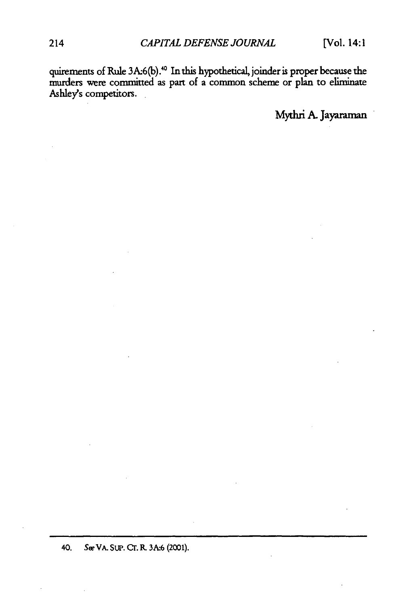quirements of Rule 3A.6(b) **.** In this hypothetical, joinder is proper because the murders were committed as part of a common scheme or plan to eliminate Ashley's competitors.

Mythri A. Jayaraman

40. Sw VA. Sup. Cr. **R. 3A.6** (2001).